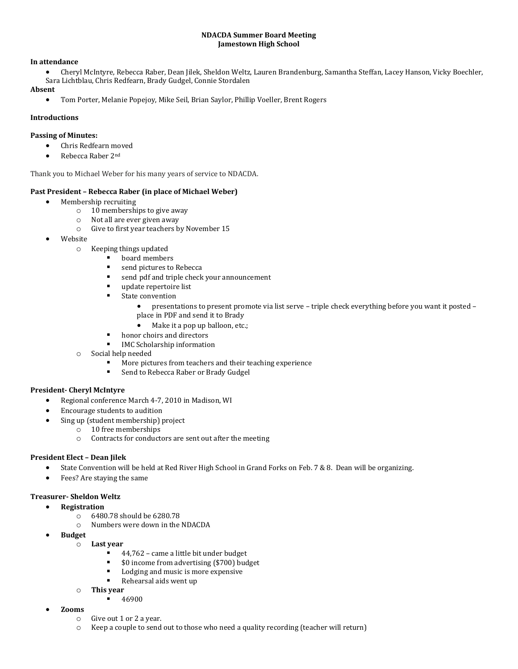#### **NDACDA Summer Board Meeting Jamestown High School**

#### **In attendance**

 Cheryl McIntyre, Rebecca Raber, Dean Jilek, Sheldon Weltz, Lauren Brandenburg, Samantha Steffan, Lacey Hanson, Vicky Boechler, Sara Lichtblau, Chris Redfearn, Brady Gudgel, Connie Stordalen

#### **Absent**

Tom Porter, Melanie Popejoy, Mike Seil, Brian Saylor, Phillip Voeller, Brent Rogers

## **Introductions**

## **Passing of Minutes:**

- Chris Redfearn moved
- Rebecca Raber 2<sup>nd</sup>

Thank you to Michael Weber for his many years of service to NDACDA.

## **Past President – Rebecca Raber (in place of Michael Weber)**

- Membership recruiting
	- o 10 memberships to give away
	- o Not all are ever given away
	- o Give to first year teachers by November 15
- Website
	- o Keeping things updated
		- board members
			- **same in the send pictures to Rebecca**
			- **send pdf and triple check your announcement**
			- update repertoire list
			- **State convention** 
				- presentations to present promote via list serve triple check everything before you want it posted place in PDF and send it to Brady
				- Make it a pop up balloon, etc.;
			- honor choirs and directors
			- IMC Scholarship information
	- o Social help needed
		- More pictures from teachers and their teaching experience
		- **EXEC** Send to Rebecca Raber or Brady Gudgel

## **President- Cheryl McIntyre**

- Regional conference March 4-7, 2010 in Madison, WI
	- Encourage students to audition
- Sing up (student membership) project
	- o 10 free memberships
	- o Contracts for conductors are sent out after the meeting

## **President Elect – Dean Jilek**

- State Convention will be held at Red River High School in Grand Forks on Feb. 7 & 8.  Dean will be organizing.
- Fees? Are staying the same

## **Treasurer- Sheldon Weltz**

- **Registration**
	- o 6480.78 should be 6280.78
	- o Numbers were down in the NDACDA
- **Budget**
	- o **Last year**
		- 44,762 came a little bit under budget
		- **50 income from advertising (\$700) budget**
		- Lodging and music is more expensive<br> $\blacksquare$  Poboarsal aids wont up
		- Rehearsal aids went up
	- o **This year**
		- 46900
- **Zooms**
	- o Give out 1 or 2 a year.
	- o Keep a couple to send out to those who need a quality recording (teacher will return)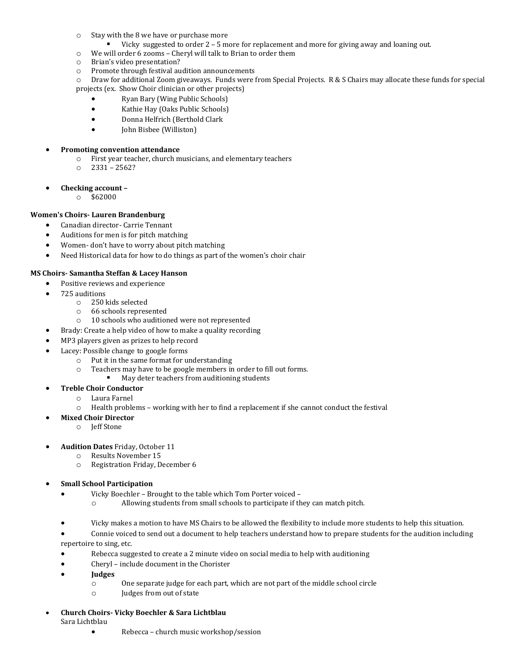- o Stay with the 8 we have or purchase more
	- Vicky suggested to order 2 5 more for replacement and more for giving away and loaning out.
- o We will order 6 zooms Cheryl will talk to Brian to order them
- o Brian's video presentation?
- o Promote through festival audition announcements

o Draw for additional Zoom giveaways.  Funds were from Special Projects.  R & S Chairs may allocate these funds for special projects (ex.  Show Choir clinician or other projects)

- Ryan Bary (Wing Public Schools)
- Kathie Hay (Oaks Public Schools)
- Donna Helfrich (Berthold Clark
- John Bisbee (Williston)

## **Promoting convention attendance**

- o First year teacher, church musicians, and elementary teachers
- o 2331 2562?
- **Checking account –**
	- o \$62000

# **Women's Choirs- Lauren Brandenburg**

- Canadian director- Carrie Tennant
- Auditions for men is for pitch matching
- Women- don't have to worry about pitch matching
- Need Historical data for how to do things as part of the women's choir chair

## **MS Choirs- Samantha Steffan & Lacey Hanson**

- Positive reviews and experience
- 725 auditions
	- o 250 kids selected
	- o 66 schools represented
	- o 10 schools who auditioned were not represented
	- Brady: Create a help video of how to make a quality recording
- MP3 players given as prizes to help record
- Lacey: Possible change to google forms
	- $\circ$  Put it in the same format for understanding
	- o Teachers may have to be google members in order to fill out forms.
		- **May deter teachers from auditioning students**
	- **Treble Choir Conductor**
		- o Laura Farnel
		- o Health problems working with her to find a replacement if she cannot conduct the festival
	- **Mixed Choir Director**
		- o Jeff Stone
- **Audition Dates** Friday, October 11
	- o Results November 15
		- o Registration Friday, December 6
- **Small School Participation**
	- Vicky Boechler Brought to the table which Tom Porter voiced
		- o Allowing students from small schools to participate if they can match pitch.
	- Vicky makes a motion to have MS Chairs to be allowed the flexibility to include more students to help this situation.
	- Connie voiced to send out a document to help teachers understand how to prepare students for the audition including repertoire to sing, etc.
	- Rebecca suggested to create a 2 minute video on social media to help with auditioning
	- Cheryl include document in the Chorister
	- **Judges**
		- o One separate judge for each part, which are not part of the middle school circle
		- o Judges from out of state
- **Church Choirs- Vicky Boechler & Sara Lichtblau** Sara Lichtblau
	- Rebecca church music workshop/session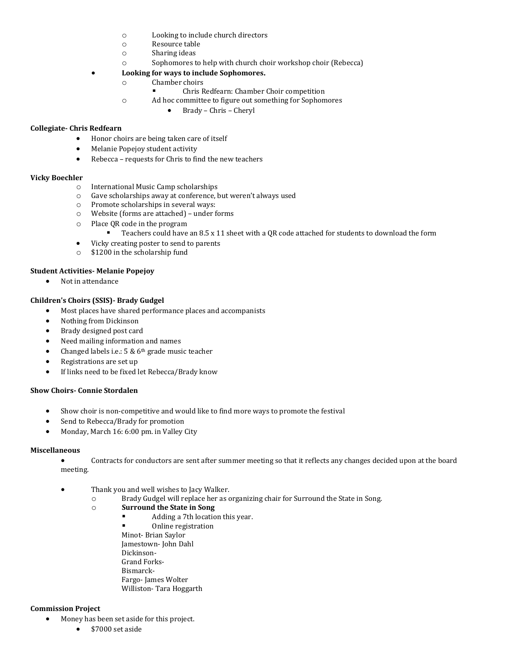- o Looking to include church directors
- o Resource table
- o Sharing ideas
- o Sophomores to help with church choir workshop choir (Rebecca)

## **Looking for ways to include Sophomores.**

- o Chamber choirs
	- Chris Redfearn: Chamber Choir competition
- o Ad hoc committee to figure out something for Sophomores
	- Brady Chris Cheryl

## **Collegiate- Chris Redfearn**

- Honor choirs are being taken care of itself
- Melanie Popejoy student activity
- Rebecca requests for Chris to find the new teachers

## **Vicky Boechler**

- o International Music Camp scholarships
- o Gave scholarships away at conference, but weren't always used
- o Promote scholarships in several ways:
- o Website (forms are attached) under forms
- o Place QR code in the program
	- Teachers could have an 8.5 x 11 sheet with a QR code attached for students to download the form
- Vicky creating poster to send to parents
- o \$1200 in the scholarship fund

## **Student Activities- Melanie Popejoy**

• Not in attendance

## **Children's Choirs (SSIS)- Brady Gudgel**

- Most places have shared performance places and accompanists
- Nothing from Dickinson
- Brady designed post card
- Need mailing information and names
- Changed labels i.e.:  $5 & 6<sup>th</sup>$  grade music teacher
- Registrations are set up
- If links need to be fixed let Rebecca/Brady know

#### **Show Choirs- Connie Stordalen**

- Show choir is non-competitive and would like to find more ways to promote the festival
- Send to Rebecca/Brady for promotion
- Monday, March 16: 6:00 pm. in Valley City

#### **Miscellaneous**

- Contracts for conductors are sent after summer meeting so that it reflects any changes decided upon at the board meeting.
- Thank you and well wishes to Jacy Walker.
	- o Brady Gudgel will replace her as organizing chair for Surround the State in Song.
	- o **Surround the State in Song**
		- **Adding a 7th location this year.**
		- Online registration Minot- Brian Saylor Jamestown- John Dahl Dickinson-Grand Forks-Bismarck-Fargo- James Wolter Williston- Tara Hoggarth

## **Commission Project**

- Money has been set aside for this project.
	- \$7000 set aside